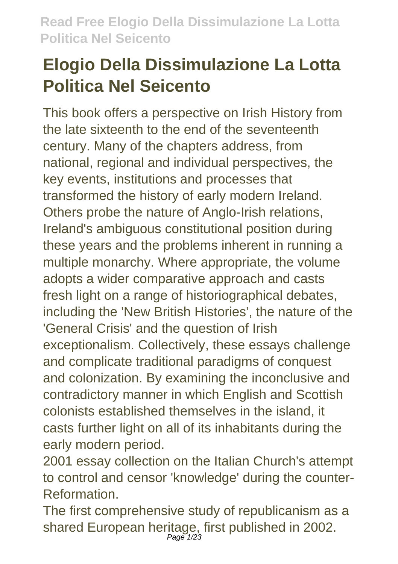# **Elogio Della Dissimulazione La Lotta Politica Nel Seicento**

This book offers a perspective on Irish History from the late sixteenth to the end of the seventeenth century. Many of the chapters address, from national, regional and individual perspectives, the key events, institutions and processes that transformed the history of early modern Ireland. Others probe the nature of Anglo-Irish relations, Ireland's ambiguous constitutional position during these years and the problems inherent in running a multiple monarchy. Where appropriate, the volume adopts a wider comparative approach and casts fresh light on a range of historiographical debates, including the 'New British Histories', the nature of the 'General Crisis' and the question of Irish exceptionalism. Collectively, these essays challenge and complicate traditional paradigms of conquest and colonization. By examining the inconclusive and contradictory manner in which English and Scottish colonists established themselves in the island, it casts further light on all of its inhabitants during the early modern period.

2001 essay collection on the Italian Church's attempt to control and censor 'knowledge' during the counter-Reformation.

The first comprehensive study of republicanism as a shared European heritage, first published in 2002.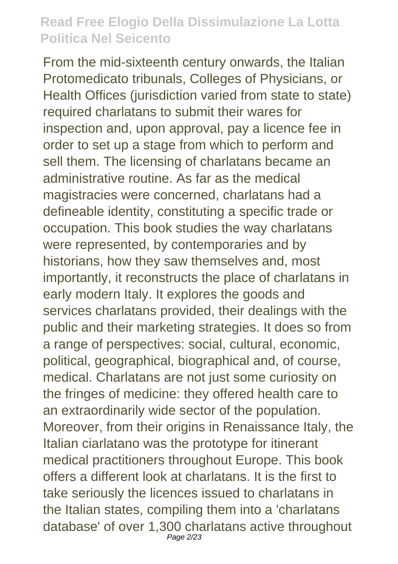From the mid-sixteenth century onwards, the Italian Protomedicato tribunals, Colleges of Physicians, or Health Offices (jurisdiction varied from state to state) required charlatans to submit their wares for inspection and, upon approval, pay a licence fee in order to set up a stage from which to perform and sell them. The licensing of charlatans became an administrative routine. As far as the medical magistracies were concerned, charlatans had a defineable identity, constituting a specific trade or occupation. This book studies the way charlatans were represented, by contemporaries and by historians, how they saw themselves and, most importantly, it reconstructs the place of charlatans in early modern Italy. It explores the goods and services charlatans provided, their dealings with the public and their marketing strategies. It does so from a range of perspectives: social, cultural, economic, political, geographical, biographical and, of course, medical. Charlatans are not just some curiosity on the fringes of medicine: they offered health care to an extraordinarily wide sector of the population. Moreover, from their origins in Renaissance Italy, the Italian ciarlatano was the prototype for itinerant medical practitioners throughout Europe. This book offers a different look at charlatans. It is the first to take seriously the licences issued to charlatans in the Italian states, compiling them into a 'charlatans database' of over 1,300 charlatans active throughout Page 2/23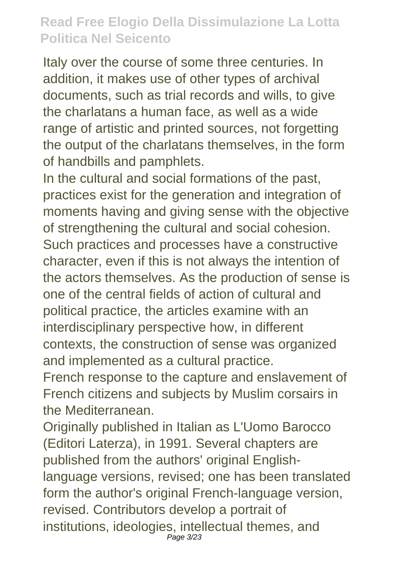Italy over the course of some three centuries. In addition, it makes use of other types of archival documents, such as trial records and wills, to give the charlatans a human face, as well as a wide range of artistic and printed sources, not forgetting the output of the charlatans themselves, in the form of handbills and pamphlets.

In the cultural and social formations of the past, practices exist for the generation and integration of moments having and giving sense with the objective of strengthening the cultural and social cohesion. Such practices and processes have a constructive character, even if this is not always the intention of the actors themselves. As the production of sense is one of the central fields of action of cultural and political practice, the articles examine with an interdisciplinary perspective how, in different contexts, the construction of sense was organized and implemented as a cultural practice. French response to the capture and enslavement of French citizens and subjects by Muslim corsairs in the Mediterranean.

Originally published in Italian as L'Uomo Barocco (Editori Laterza), in 1991. Several chapters are published from the authors' original Englishlanguage versions, revised; one has been translated form the author's original French-language version, revised. Contributors develop a portrait of institutions, ideologies, intellectual themes, and  $P$ age  $3/23$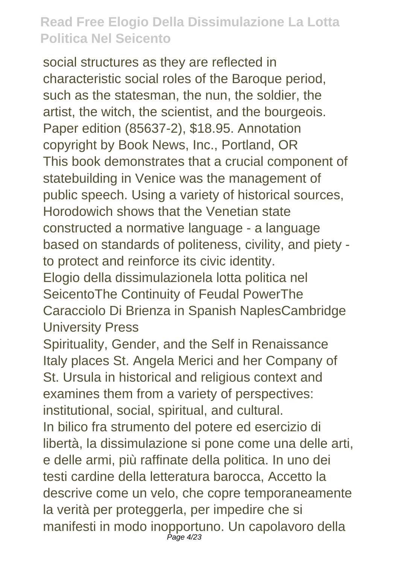social structures as they are reflected in characteristic social roles of the Baroque period, such as the statesman, the nun, the soldier, the artist, the witch, the scientist, and the bourgeois. Paper edition (85637-2), \$18.95. Annotation copyright by Book News, Inc., Portland, OR This book demonstrates that a crucial component of statebuilding in Venice was the management of public speech. Using a variety of historical sources, Horodowich shows that the Venetian state constructed a normative language - a language based on standards of politeness, civility, and piety to protect and reinforce its civic identity. Elogio della dissimulazionela lotta politica nel SeicentoThe Continuity of Feudal PowerThe Caracciolo Di Brienza in Spanish NaplesCambridge University Press

Spirituality, Gender, and the Self in Renaissance Italy places St. Angela Merici and her Company of St. Ursula in historical and religious context and examines them from a variety of perspectives: institutional, social, spiritual, and cultural. In bilico fra strumento del potere ed esercizio di libertà, la dissimulazione si pone come una delle arti, e delle armi, più raffinate della politica. In uno dei testi cardine della letteratura barocca, Accetto la descrive come un velo, che copre temporaneamente la verità per proteggerla, per impedire che si manifesti in modo inopportuno. Un capolavoro della Page 4/23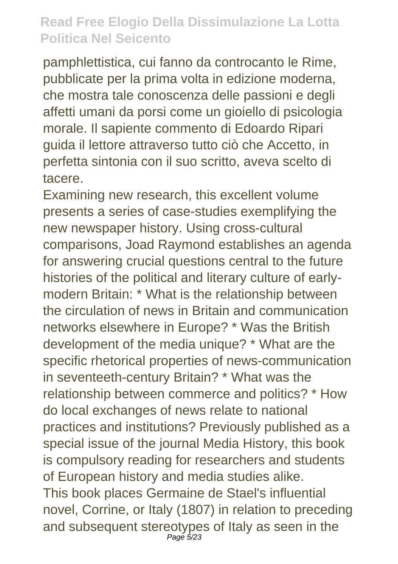pamphlettistica, cui fanno da controcanto le Rime, pubblicate per la prima volta in edizione moderna, che mostra tale conoscenza delle passioni e degli affetti umani da porsi come un gioiello di psicologia morale. Il sapiente commento di Edoardo Ripari guida il lettore attraverso tutto ciò che Accetto, in perfetta sintonia con il suo scritto, aveva scelto di tacere.

Examining new research, this excellent volume presents a series of case-studies exemplifying the new newspaper history. Using cross-cultural comparisons, Joad Raymond establishes an agenda for answering crucial questions central to the future histories of the political and literary culture of earlymodern Britain: \* What is the relationship between the circulation of news in Britain and communication networks elsewhere in Europe? \* Was the British development of the media unique? \* What are the specific rhetorical properties of news-communication in seventeeth-century Britain? \* What was the relationship between commerce and politics? \* How do local exchanges of news relate to national practices and institutions? Previously published as a special issue of the journal Media History, this book is compulsory reading for researchers and students of European history and media studies alike. This book places Germaine de Stael's influential novel, Corrine, or Italy (1807) in relation to preceding and subsequent stereotypes of Italy as seen in the Page 5/23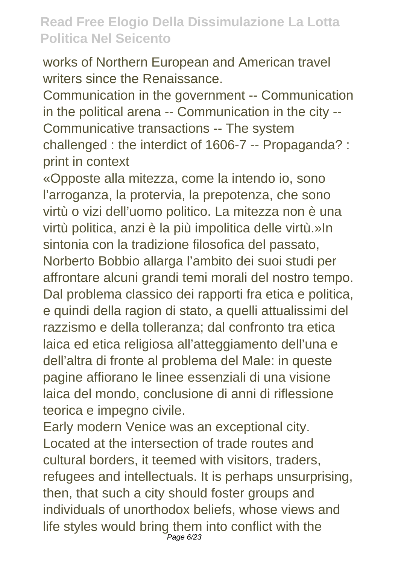works of Northern European and American travel writers since the Renaissance.

Communication in the government -- Communication in the political arena -- Communication in the city -- Communicative transactions -- The system challenged : the interdict of 1606-7 -- Propaganda? : print in context

«Opposte alla mitezza, come la intendo io, sono l'arroganza, la protervia, la prepotenza, che sono virtù o vizi dell'uomo politico. La mitezza non è una virtù politica, anzi è la più impolitica delle virtù.»In sintonia con la tradizione filosofica del passato, Norberto Bobbio allarga l'ambito dei suoi studi per affrontare alcuni grandi temi morali del nostro tempo. Dal problema classico dei rapporti fra etica e politica, e quindi della ragion di stato, a quelli attualissimi del razzismo e della tolleranza; dal confronto tra etica laica ed etica religiosa all'atteggiamento dell'una e dell'altra di fronte al problema del Male: in queste pagine affiorano le linee essenziali di una visione laica del mondo, conclusione di anni di riflessione teorica e impegno civile.

Early modern Venice was an exceptional city. Located at the intersection of trade routes and cultural borders, it teemed with visitors, traders, refugees and intellectuals. It is perhaps unsurprising, then, that such a city should foster groups and individuals of unorthodox beliefs, whose views and life styles would bring them into conflict with the Page 6/23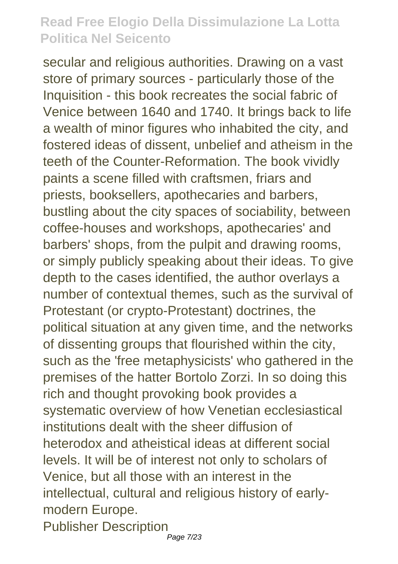secular and religious authorities. Drawing on a vast store of primary sources - particularly those of the Inquisition - this book recreates the social fabric of Venice between 1640 and 1740. It brings back to life a wealth of minor figures who inhabited the city, and fostered ideas of dissent, unbelief and atheism in the teeth of the Counter-Reformation. The book vividly paints a scene filled with craftsmen, friars and priests, booksellers, apothecaries and barbers, bustling about the city spaces of sociability, between coffee-houses and workshops, apothecaries' and barbers' shops, from the pulpit and drawing rooms, or simply publicly speaking about their ideas. To give depth to the cases identified, the author overlays a number of contextual themes, such as the survival of Protestant (or crypto-Protestant) doctrines, the political situation at any given time, and the networks of dissenting groups that flourished within the city, such as the 'free metaphysicists' who gathered in the premises of the hatter Bortolo Zorzi. In so doing this rich and thought provoking book provides a systematic overview of how Venetian ecclesiastical institutions dealt with the sheer diffusion of heterodox and atheistical ideas at different social levels. It will be of interest not only to scholars of Venice, but all those with an interest in the intellectual, cultural and religious history of earlymodern Europe. Publisher Description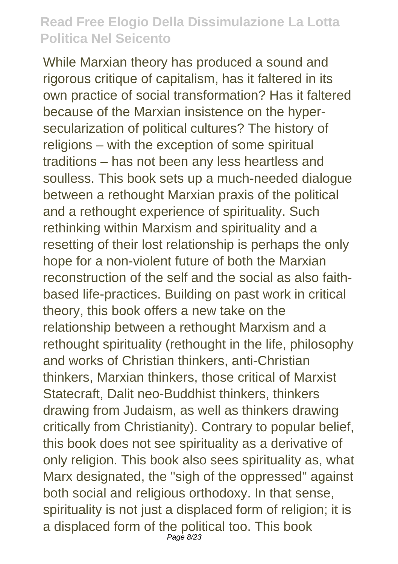While Marxian theory has produced a sound and rigorous critique of capitalism, has it faltered in its own practice of social transformation? Has it faltered because of the Marxian insistence on the hypersecularization of political cultures? The history of religions – with the exception of some spiritual traditions – has not been any less heartless and soulless. This book sets up a much-needed dialogue between a rethought Marxian praxis of the political and a rethought experience of spirituality. Such rethinking within Marxism and spirituality and a resetting of their lost relationship is perhaps the only hope for a non-violent future of both the Marxian reconstruction of the self and the social as also faithbased life-practices. Building on past work in critical theory, this book offers a new take on the relationship between a rethought Marxism and a rethought spirituality (rethought in the life, philosophy and works of Christian thinkers, anti-Christian thinkers, Marxian thinkers, those critical of Marxist Statecraft, Dalit neo-Buddhist thinkers, thinkers drawing from Judaism, as well as thinkers drawing critically from Christianity). Contrary to popular belief, this book does not see spirituality as a derivative of only religion. This book also sees spirituality as, what Marx designated, the "sigh of the oppressed" against both social and religious orthodoxy. In that sense, spirituality is not just a displaced form of religion; it is a displaced form of the political too. This book Page 8/23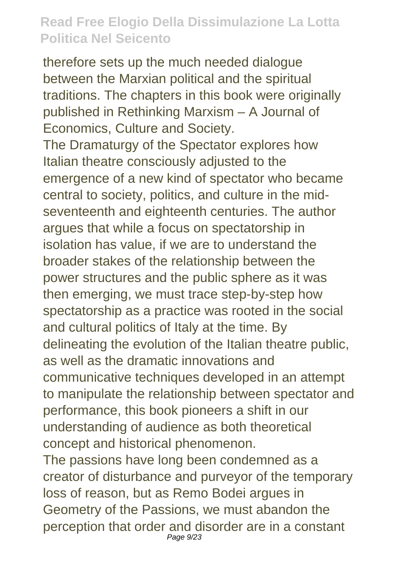therefore sets up the much needed dialogue between the Marxian political and the spiritual traditions. The chapters in this book were originally published in Rethinking Marxism – A Journal of Economics, Culture and Society. The Dramaturgy of the Spectator explores how Italian theatre consciously adjusted to the emergence of a new kind of spectator who became central to society, politics, and culture in the midseventeenth and eighteenth centuries. The author argues that while a focus on spectatorship in isolation has value, if we are to understand the broader stakes of the relationship between the power structures and the public sphere as it was then emerging, we must trace step-by-step how spectatorship as a practice was rooted in the social and cultural politics of Italy at the time. By delineating the evolution of the Italian theatre public, as well as the dramatic innovations and communicative techniques developed in an attempt to manipulate the relationship between spectator and performance, this book pioneers a shift in our understanding of audience as both theoretical concept and historical phenomenon.

The passions have long been condemned as a creator of disturbance and purveyor of the temporary loss of reason, but as Remo Bodei argues in Geometry of the Passions, we must abandon the perception that order and disorder are in a constant Page 9/23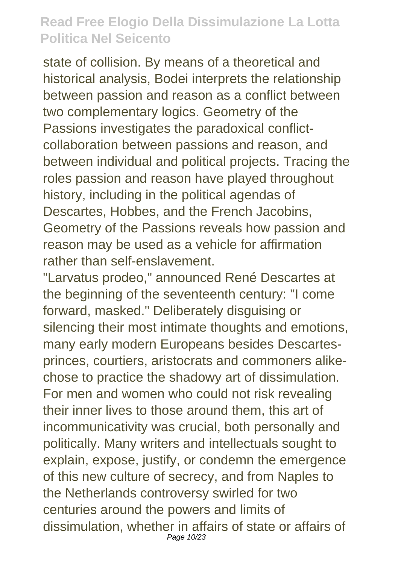state of collision. By means of a theoretical and historical analysis, Bodei interprets the relationship between passion and reason as a conflict between two complementary logics. Geometry of the Passions investigates the paradoxical conflictcollaboration between passions and reason, and between individual and political projects. Tracing the roles passion and reason have played throughout history, including in the political agendas of Descartes, Hobbes, and the French Jacobins, Geometry of the Passions reveals how passion and reason may be used as a vehicle for affirmation rather than self-enslavement.

"Larvatus prodeo," announced René Descartes at the beginning of the seventeenth century: "I come forward, masked." Deliberately disguising or silencing their most intimate thoughts and emotions, many early modern Europeans besides Descartesprinces, courtiers, aristocrats and commoners alikechose to practice the shadowy art of dissimulation. For men and women who could not risk revealing their inner lives to those around them, this art of incommunicativity was crucial, both personally and politically. Many writers and intellectuals sought to explain, expose, justify, or condemn the emergence of this new culture of secrecy, and from Naples to the Netherlands controversy swirled for two centuries around the powers and limits of dissimulation, whether in affairs of state or affairs of Page 10/23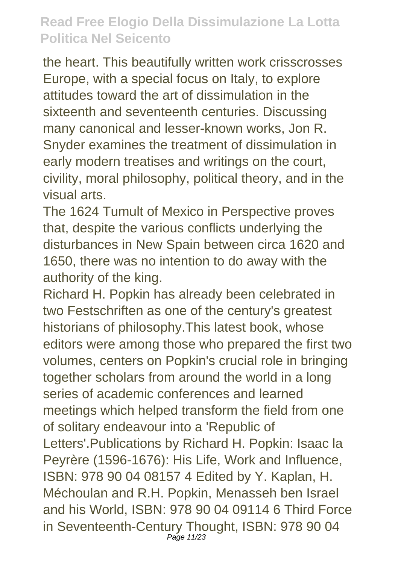the heart. This beautifully written work crisscrosses Europe, with a special focus on Italy, to explore attitudes toward the art of dissimulation in the sixteenth and seventeenth centuries. Discussing many canonical and lesser-known works, Jon R. Snyder examines the treatment of dissimulation in early modern treatises and writings on the court, civility, moral philosophy, political theory, and in the visual arts.

The 1624 Tumult of Mexico in Perspective proves that, despite the various conflicts underlying the disturbances in New Spain between circa 1620 and 1650, there was no intention to do away with the authority of the king.

Richard H. Popkin has already been celebrated in two Festschriften as one of the century's greatest historians of philosophy.This latest book, whose editors were among those who prepared the first two volumes, centers on Popkin's crucial role in bringing together scholars from around the world in a long series of academic conferences and learned meetings which helped transform the field from one of solitary endeavour into a 'Republic of Letters'.Publications by Richard H. Popkin: Isaac la Peyrère (1596-1676): His Life, Work and Influence, ISBN: 978 90 04 08157 4 Edited by Y. Kaplan, H. Méchoulan and R.H. Popkin, Menasseh ben Israel and his World, ISBN: 978 90 04 09114 6 Third Force in Seventeenth-Century Thought, ISBN: 978 90 04 Page 11/23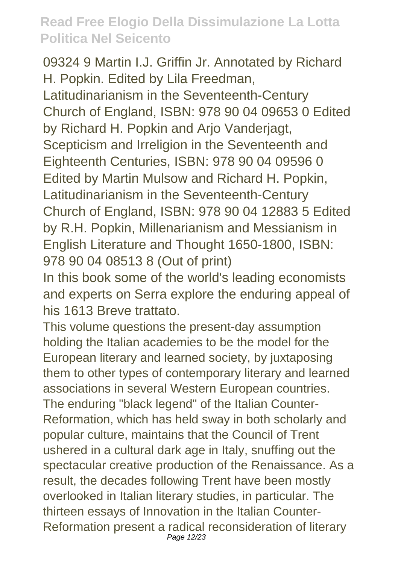09324 9 Martin I.J. Griffin Jr. Annotated by Richard H. Popkin. Edited by Lila Freedman, Latitudinarianism in the Seventeenth-Century Church of England, ISBN: 978 90 04 09653 0 Edited by Richard H. Popkin and Arjo Vanderjagt, Scepticism and Irreligion in the Seventeenth and Eighteenth Centuries, ISBN: 978 90 04 09596 0 Edited by Martin Mulsow and Richard H. Popkin, Latitudinarianism in the Seventeenth-Century Church of England, ISBN: 978 90 04 12883 5 Edited by R.H. Popkin, Millenarianism and Messianism in English Literature and Thought 1650-1800, ISBN: 978 90 04 08513 8 (Out of print)

In this book some of the world's leading economists and experts on Serra explore the enduring appeal of his 1613 Breve trattato.

This volume questions the present-day assumption holding the Italian academies to be the model for the European literary and learned society, by juxtaposing them to other types of contemporary literary and learned associations in several Western European countries. The enduring "black legend" of the Italian Counter-Reformation, which has held sway in both scholarly and popular culture, maintains that the Council of Trent ushered in a cultural dark age in Italy, snuffing out the spectacular creative production of the Renaissance. As a result, the decades following Trent have been mostly overlooked in Italian literary studies, in particular. The thirteen essays of Innovation in the Italian Counter-Reformation present a radical reconsideration of literary Page 12/23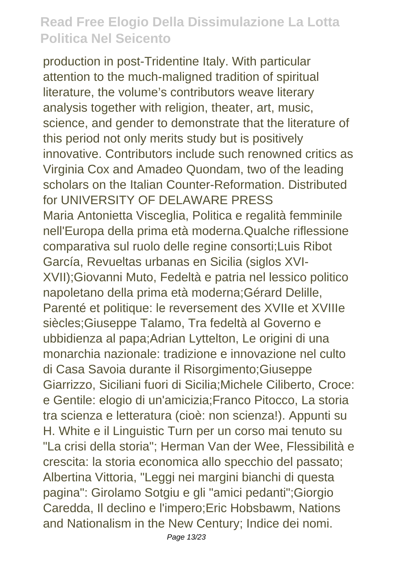production in post-Tridentine Italy. With particular attention to the much-maligned tradition of spiritual literature, the volume's contributors weave literary analysis together with religion, theater, art, music, science, and gender to demonstrate that the literature of this period not only merits study but is positively innovative. Contributors include such renowned critics as Virginia Cox and Amadeo Quondam, two of the leading scholars on the Italian Counter-Reformation. Distributed for UNIVERSITY OF DELAWARE PRESS Maria Antonietta Visceglia, Politica e regalità femminile nell'Europa della prima età moderna.Qualche riflessione comparativa sul ruolo delle regine consorti;Luis Ribot García, Revueltas urbanas en Sicilia (siglos XVI-XVII);Giovanni Muto, Fedeltà e patria nel lessico politico napoletano della prima età moderna;Gérard Delille, Parenté et politique: le reversement des XVIIe et XVIIIe siècles;Giuseppe Talamo, Tra fedeltà al Governo e ubbidienza al papa;Adrian Lyttelton, Le origini di una monarchia nazionale: tradizione e innovazione nel culto di Casa Savoia durante il Risorgimento;Giuseppe Giarrizzo, Siciliani fuori di Sicilia;Michele Ciliberto, Croce: e Gentile: elogio di un'amicizia;Franco Pitocco, La storia tra scienza e letteratura (cioè: non scienza!). Appunti su H. White e il Linguistic Turn per un corso mai tenuto su "La crisi della storia"; Herman Van der Wee, Flessibilità e crescita: la storia economica allo specchio del passato; Albertina Vittoria, "Leggi nei margini bianchi di questa pagina": Girolamo Sotgiu e gli "amici pedanti";Giorgio Caredda, Il declino e l'impero;Eric Hobsbawm, Nations and Nationalism in the New Century; Indice dei nomi.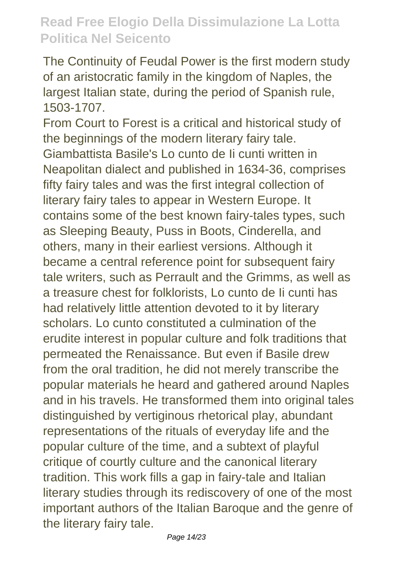The Continuity of Feudal Power is the first modern study of an aristocratic family in the kingdom of Naples, the largest Italian state, during the period of Spanish rule, 1503-1707.

From Court to Forest is a critical and historical study of the beginnings of the modern literary fairy tale. Giambattista Basile's Lo cunto de Ii cunti written in Neapolitan dialect and published in 1634-36, comprises fifty fairy tales and was the first integral collection of literary fairy tales to appear in Western Europe. It contains some of the best known fairy-tales types, such as Sleeping Beauty, Puss in Boots, Cinderella, and others, many in their earliest versions. Although it became a central reference point for subsequent fairy tale writers, such as Perrault and the Grimms, as well as a treasure chest for folklorists, Lo cunto de Ii cunti has had relatively little attention devoted to it by literary scholars. Lo cunto constituted a culmination of the erudite interest in popular culture and folk traditions that permeated the Renaissance. But even if Basile drew from the oral tradition, he did not merely transcribe the popular materials he heard and gathered around Naples and in his travels. He transformed them into original tales distinguished by vertiginous rhetorical play, abundant representations of the rituals of everyday life and the popular culture of the time, and a subtext of playful critique of courtly culture and the canonical literary tradition. This work fills a gap in fairy-tale and Italian literary studies through its rediscovery of one of the most important authors of the Italian Baroque and the genre of the literary fairy tale.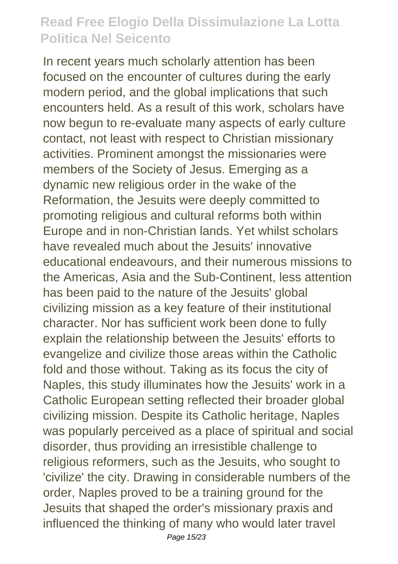In recent years much scholarly attention has been focused on the encounter of cultures during the early modern period, and the global implications that such encounters held. As a result of this work, scholars have now begun to re-evaluate many aspects of early culture contact, not least with respect to Christian missionary activities. Prominent amongst the missionaries were members of the Society of Jesus. Emerging as a dynamic new religious order in the wake of the Reformation, the Jesuits were deeply committed to promoting religious and cultural reforms both within Europe and in non-Christian lands. Yet whilst scholars have revealed much about the Jesuits' innovative educational endeavours, and their numerous missions to the Americas, Asia and the Sub-Continent, less attention has been paid to the nature of the Jesuits' global civilizing mission as a key feature of their institutional character. Nor has sufficient work been done to fully explain the relationship between the Jesuits' efforts to evangelize and civilize those areas within the Catholic fold and those without. Taking as its focus the city of Naples, this study illuminates how the Jesuits' work in a Catholic European setting reflected their broader global civilizing mission. Despite its Catholic heritage, Naples was popularly perceived as a place of spiritual and social disorder, thus providing an irresistible challenge to religious reformers, such as the Jesuits, who sought to 'civilize' the city. Drawing in considerable numbers of the order, Naples proved to be a training ground for the Jesuits that shaped the order's missionary praxis and influenced the thinking of many who would later travel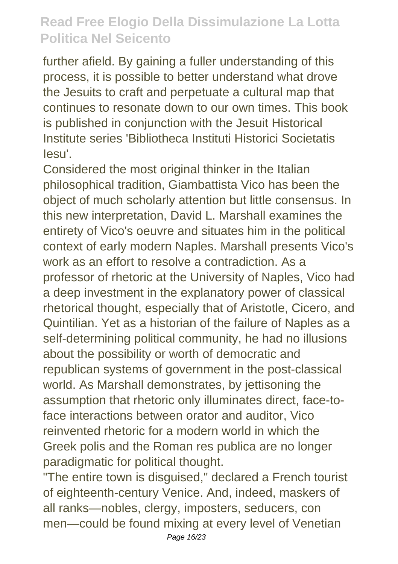further afield. By gaining a fuller understanding of this process, it is possible to better understand what drove the Jesuits to craft and perpetuate a cultural map that continues to resonate down to our own times. This book is published in conjunction with the Jesuit Historical Institute series 'Bibliotheca Instituti Historici Societatis Iesu'.

Considered the most original thinker in the Italian philosophical tradition, Giambattista Vico has been the object of much scholarly attention but little consensus. In this new interpretation, David L. Marshall examines the entirety of Vico's oeuvre and situates him in the political context of early modern Naples. Marshall presents Vico's work as an effort to resolve a contradiction. As a professor of rhetoric at the University of Naples, Vico had a deep investment in the explanatory power of classical rhetorical thought, especially that of Aristotle, Cicero, and Quintilian. Yet as a historian of the failure of Naples as a self-determining political community, he had no illusions about the possibility or worth of democratic and republican systems of government in the post-classical world. As Marshall demonstrates, by jettisoning the assumption that rhetoric only illuminates direct, face-toface interactions between orator and auditor, Vico reinvented rhetoric for a modern world in which the Greek polis and the Roman res publica are no longer paradigmatic for political thought.

"The entire town is disguised," declared a French tourist of eighteenth-century Venice. And, indeed, maskers of all ranks—nobles, clergy, imposters, seducers, con men—could be found mixing at every level of Venetian Page 16/23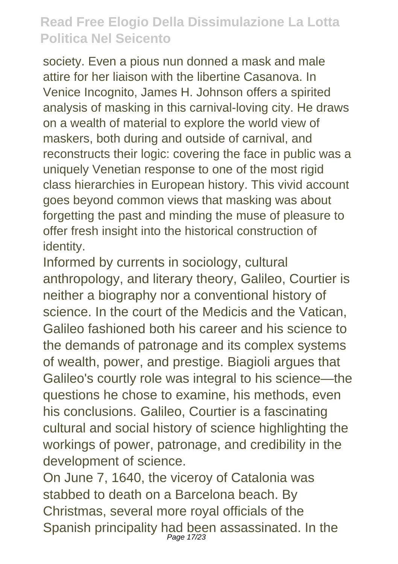society. Even a pious nun donned a mask and male attire for her liaison with the libertine Casanova. In Venice Incognito, James H. Johnson offers a spirited analysis of masking in this carnival-loving city. He draws on a wealth of material to explore the world view of maskers, both during and outside of carnival, and reconstructs their logic: covering the face in public was a uniquely Venetian response to one of the most rigid class hierarchies in European history. This vivid account goes beyond common views that masking was about forgetting the past and minding the muse of pleasure to offer fresh insight into the historical construction of identity.

Informed by currents in sociology, cultural anthropology, and literary theory, Galileo, Courtier is neither a biography nor a conventional history of science. In the court of the Medicis and the Vatican, Galileo fashioned both his career and his science to the demands of patronage and its complex systems of wealth, power, and prestige. Biagioli argues that Galileo's courtly role was integral to his science—the questions he chose to examine, his methods, even his conclusions. Galileo, Courtier is a fascinating cultural and social history of science highlighting the workings of power, patronage, and credibility in the development of science.

On June 7, 1640, the viceroy of Catalonia was stabbed to death on a Barcelona beach. By Christmas, several more royal officials of the Spanish principality had been assassinated. In the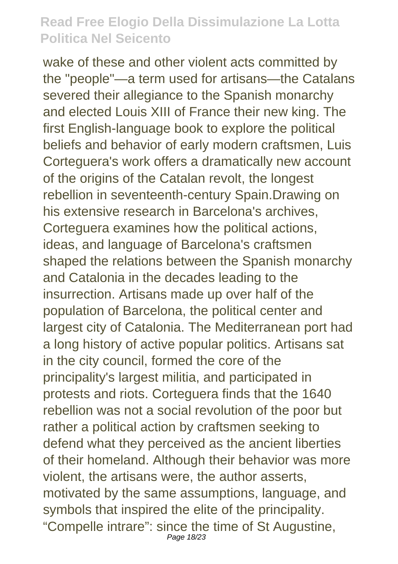wake of these and other violent acts committed by the "people"—a term used for artisans—the Catalans severed their allegiance to the Spanish monarchy and elected Louis XIII of France their new king. The first English-language book to explore the political beliefs and behavior of early modern craftsmen, Luis Corteguera's work offers a dramatically new account of the origins of the Catalan revolt, the longest rebellion in seventeenth-century Spain.Drawing on his extensive research in Barcelona's archives, Corteguera examines how the political actions, ideas, and language of Barcelona's craftsmen shaped the relations between the Spanish monarchy and Catalonia in the decades leading to the insurrection. Artisans made up over half of the population of Barcelona, the political center and largest city of Catalonia. The Mediterranean port had a long history of active popular politics. Artisans sat in the city council, formed the core of the principality's largest militia, and participated in protests and riots. Corteguera finds that the 1640 rebellion was not a social revolution of the poor but rather a political action by craftsmen seeking to defend what they perceived as the ancient liberties of their homeland. Although their behavior was more violent, the artisans were, the author asserts, motivated by the same assumptions, language, and symbols that inspired the elite of the principality. "Compelle intrare": since the time of St Augustine, Page 18/23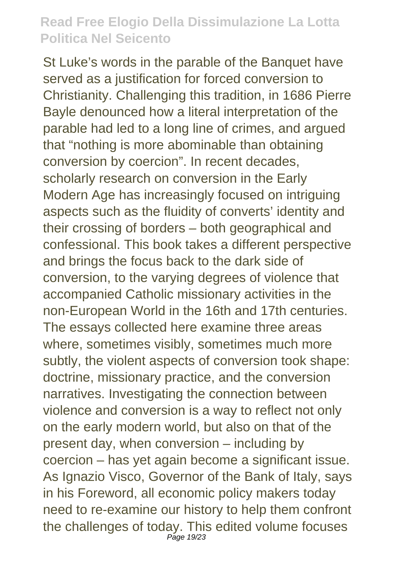St Luke's words in the parable of the Banquet have served as a justification for forced conversion to Christianity. Challenging this tradition, in 1686 Pierre Bayle denounced how a literal interpretation of the parable had led to a long line of crimes, and argued that "nothing is more abominable than obtaining conversion by coercion". In recent decades, scholarly research on conversion in the Early Modern Age has increasingly focused on intriguing aspects such as the fluidity of converts' identity and their crossing of borders – both geographical and confessional. This book takes a different perspective and brings the focus back to the dark side of conversion, to the varying degrees of violence that accompanied Catholic missionary activities in the non-European World in the 16th and 17th centuries. The essays collected here examine three areas where, sometimes visibly, sometimes much more subtly, the violent aspects of conversion took shape: doctrine, missionary practice, and the conversion narratives. Investigating the connection between violence and conversion is a way to reflect not only on the early modern world, but also on that of the present day, when conversion – including by coercion – has yet again become a significant issue. As Ignazio Visco, Governor of the Bank of Italy, says in his Foreword, all economic policy makers today need to re-examine our history to help them confront the challenges of today. This edited volume focuses Page 19/23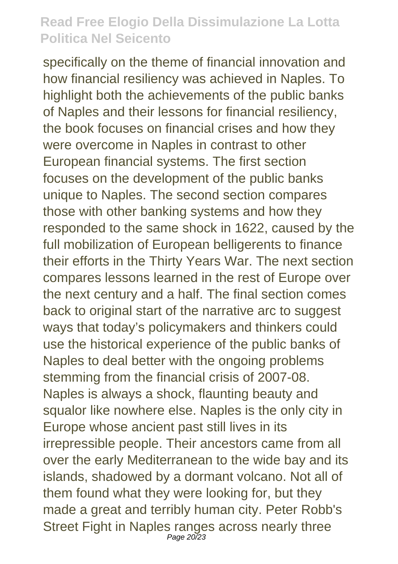specifically on the theme of financial innovation and how financial resiliency was achieved in Naples. To highlight both the achievements of the public banks of Naples and their lessons for financial resiliency, the book focuses on financial crises and how they were overcome in Naples in contrast to other European financial systems. The first section focuses on the development of the public banks unique to Naples. The second section compares those with other banking systems and how they responded to the same shock in 1622, caused by the full mobilization of European belligerents to finance their efforts in the Thirty Years War. The next section compares lessons learned in the rest of Europe over the next century and a half. The final section comes back to original start of the narrative arc to suggest ways that today's policymakers and thinkers could use the historical experience of the public banks of Naples to deal better with the ongoing problems stemming from the financial crisis of 2007-08. Naples is always a shock, flaunting beauty and squalor like nowhere else. Naples is the only city in Europe whose ancient past still lives in its irrepressible people. Their ancestors came from all over the early Mediterranean to the wide bay and its islands, shadowed by a dormant volcano. Not all of them found what they were looking for, but they made a great and terribly human city. Peter Robb's Street Fight in Naples ranges across nearly three Page 20/23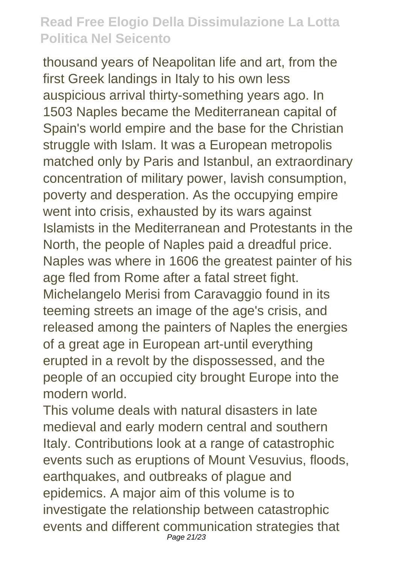thousand years of Neapolitan life and art, from the first Greek landings in Italy to his own less auspicious arrival thirty-something years ago. In 1503 Naples became the Mediterranean capital of Spain's world empire and the base for the Christian struggle with Islam. It was a European metropolis matched only by Paris and Istanbul, an extraordinary concentration of military power, lavish consumption, poverty and desperation. As the occupying empire went into crisis, exhausted by its wars against Islamists in the Mediterranean and Protestants in the North, the people of Naples paid a dreadful price. Naples was where in 1606 the greatest painter of his age fled from Rome after a fatal street fight. Michelangelo Merisi from Caravaggio found in its teeming streets an image of the age's crisis, and released among the painters of Naples the energies of a great age in European art-until everything erupted in a revolt by the dispossessed, and the people of an occupied city brought Europe into the modern world.

This volume deals with natural disasters in late medieval and early modern central and southern Italy. Contributions look at a range of catastrophic events such as eruptions of Mount Vesuvius, floods, earthquakes, and outbreaks of plague and epidemics. A major aim of this volume is to investigate the relationship between catastrophic events and different communication strategies that Page 21/23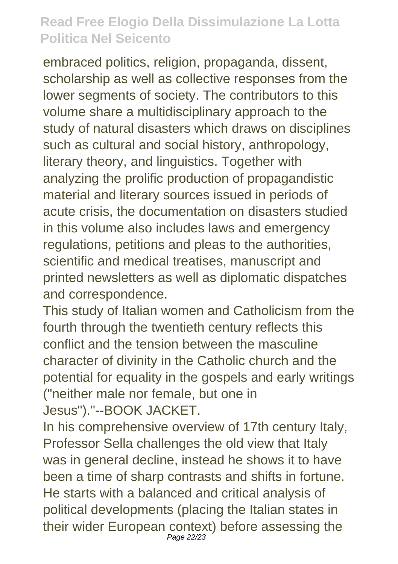embraced politics, religion, propaganda, dissent, scholarship as well as collective responses from the lower segments of society. The contributors to this volume share a multidisciplinary approach to the study of natural disasters which draws on disciplines such as cultural and social history, anthropology, literary theory, and linguistics. Together with analyzing the prolific production of propagandistic material and literary sources issued in periods of acute crisis, the documentation on disasters studied in this volume also includes laws and emergency regulations, petitions and pleas to the authorities, scientific and medical treatises, manuscript and printed newsletters as well as diplomatic dispatches and correspondence.

This study of Italian women and Catholicism from the fourth through the twentieth century reflects this conflict and the tension between the masculine character of divinity in the Catholic church and the potential for equality in the gospels and early writings ("neither male nor female, but one in Jesus")."--BOOK JACKET.

In his comprehensive overview of 17th century Italy, Professor Sella challenges the old view that Italy was in general decline, instead he shows it to have been a time of sharp contrasts and shifts in fortune. He starts with a balanced and critical analysis of political developments (placing the Italian states in their wider European context) before assessing the Page 22/23